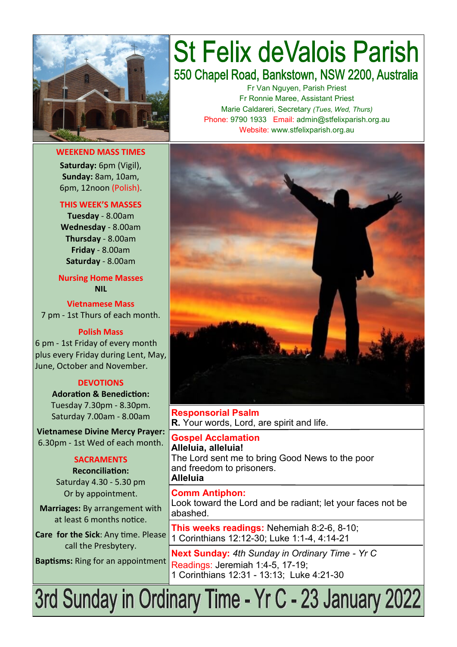

**WEEKEND MASS TIMES Saturday:** 6pm (Vigil), **Sunday:** 8am, 10am, 6pm, 12noon (Polish).

#### **THIS WEEK'S MASSES**

**Tuesday** - 8.00am **Wednesday** - 8.00am **Thursday** - 8.00am **Friday** - 8.00am **Saturday** - 8.00am

**Nursing Home Masses NIL**

**Vietnamese Mass** 7 pm - 1st Thurs of each month.

**Polish Mass**

6 pm - 1st Friday of every month plus every Friday during Lent, May, June, October and November.

#### **DEVOTIONS**

**Adoration & Benediction:**  Tuesday 7.30pm - 8.30pm. Saturday 7.00am - 8.00am

**Vietnamese Divine Mercy Prayer:** 6.30pm - 1st Wed of each month.

#### **SACRAMENTS**

**Reconciliation:**  Saturday 4.30 - 5.30 pm Or by appointment.

**Marriages:** By arrangement with at least 6 months notice.

**Care for the Sick**: Any time. Please call the Presbytery.

**Baptisms:** Ring for an appointment

# **St Felix deValois Parish** 550 Chapel Road, Bankstown, NSW 2200, Australia

Fr Van Nguyen, Parish Priest Fr Ronnie Maree, Assistant Priest Marie Caldareri, Secretary *(Tues, Wed, Thurs)* Phone: 9790 1933 Email: admin@stfelixparish.org.au Website: www.stfelixparish.org.au



**Responsorial Psalm R.** Your words, Lord, are spirit and life.

**Gospel Acclamation Alleluia, alleluia!** The Lord sent me to bring Good News to the poor and freedom to prisoners. **Alleluia**

**Comm Antiphon:**  Look toward the Lord and be radiant; let your faces not be abashed.

**This weeks readings:** Nehemiah 8:2-6, 8-10; 1 Corinthians 12:12-30; Luke 1:1-4, 4:14-21

**Next Sunday:** *4th Sunday in Ordinary Time - Yr C* Readings: Jeremiah 1:4-5, 17-19; 1 Corinthians 12:31 - 13:13; Luke 4:21-30

3rd Sunday in Ordinary Time - Yr C - 23 January 2022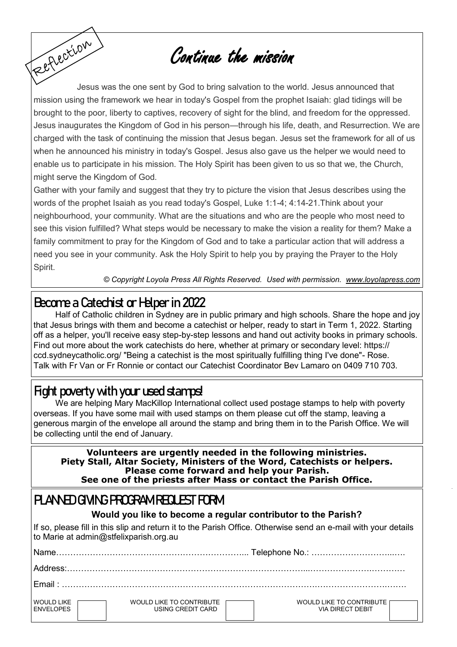# Continue the mission

Reflection Jesus was the one sent by God to bring salvation to the world. Jesus announced that mission using the framework we hear in today's Gospel from the prophet Isaiah: glad tidings will be brought to the poor, liberty to captives, recovery of sight for the blind, and freedom for the oppressed. Jesus inaugurates the Kingdom of God in his person—through his life, death, and Resurrection. We are charged with the task of continuing the mission that Jesus began. Jesus set the framework for all of us when he announced his ministry in today's Gospel. Jesus also gave us the helper we would need to enable us to participate in his mission. The Holy Spirit has been given to us so that we, the Church, might serve the Kingdom of God.

Gather with your family and suggest that they try to picture the vision that Jesus describes using the words of the prophet Isaiah as you read today's Gospel, Luke 1:1-4; 4:14-21.Think about your neighbourhood, your community. What are the situations and who are the people who most need to see this vision fulfilled? What steps would be necessary to make the vision a reality for them? Make a family commitment to pray for the Kingdom of God and to take a particular action that will address a need you see in your community. Ask the Holy Spirit to help you by praying the Prayer to the Holy Spirit.

*© Copyright Loyola Press All Rights Reserved. Used with permission. [www.loyolapress.com](http://www.loyolapress.com)*

## **Become a Catechist or Helper in 2022**

Half of Catholic children in Sydney are in public primary and high schools. Share the hope and joy that Jesus brings with them and become a catechist or helper, ready to start in Term 1, 2022. Starting off as a helper, you'll receive easy step-by-step lessons and hand out activity books in primary schools. Find out more about the work catechists do here, whether at primary or secondary level: https:// ccd.sydneycatholic.org/ "Being a catechist is the most spiritually fulfilling thing I've done"- Rose. Talk with Fr Van or Fr Ronnie or contact our Catechist Coordinator Bev Lamaro on 0409 710 703.

### **Fight poverty with your used stamps!**

We are helping Mary MacKillop International collect used postage stamps to help with poverty overseas. If you have some mail with used stamps on them please cut off the stamp, leaving a generous margin of the envelope all around the stamp and bring them in to the Parish Office. We will be collecting until the end of January.

**Volunteers are urgently needed in the following ministries. Piety Stall, Altar Society, Ministers of the Word, Catechists or helpers. Please come forward and help your Parish. See one of the priests after Mass or contact the Parish Office.** 

### **PLANNED GIVING PROGRAM REQUEST FORM**

#### **Would you like to become a regular contributor to the Parish?**

If so, please fill in this slip and return it to the Parish Office. Otherwise send an e-mail with your details to Marie at admin@stfelixparish.org.au

| <b>Name</b>                            |                                               |                                                     |  |  |
|----------------------------------------|-----------------------------------------------|-----------------------------------------------------|--|--|
|                                        |                                               |                                                     |  |  |
| $F$ mail $\cdot$                       |                                               |                                                     |  |  |
| <b>WOULD LIKE</b><br><b>FNVFI OPFS</b> | WOULD LIKE TO CONTRIBUTE<br>USING CREDIT CARD | WOULD LIKE TO CONTRIBUTE<br><b>VIA DIRECT DEBIT</b> |  |  |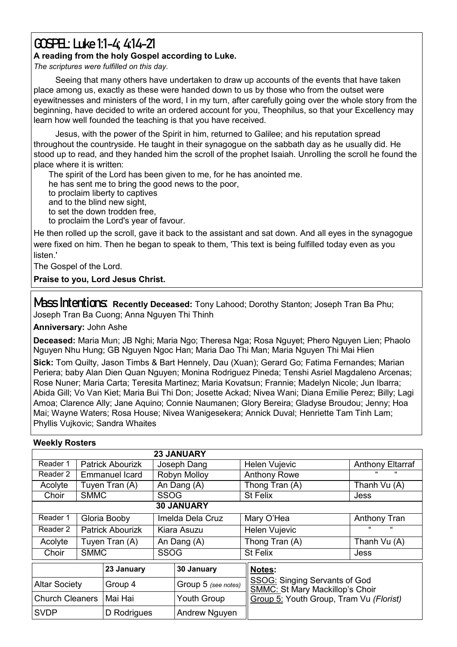## **GOSPEL: Luke 1:1-4; 4:14-21**

#### **A reading from the holy Gospel according to Luke.**

*The scriptures were fulfilled on this day.*

Seeing that many others have undertaken to draw up accounts of the events that have taken place among us, exactly as these were handed down to us by those who from the outset were eyewitnesses and ministers of the word, I in my turn, after carefully going over the whole story from the beginning, have decided to write an ordered account for you, Theophilus, so that your Excellency may learn how well founded the teaching is that you have received.

Jesus, with the power of the Spirit in him, returned to Galilee; and his reputation spread throughout the countryside. He taught in their synagogue on the sabbath day as he usually did. He stood up to read, and they handed him the scroll of the prophet Isaiah. Unrolling the scroll he found the place where it is written:

The spirit of the Lord has been given to me, for he has anointed me. he has sent me to bring the good news to the poor, to proclaim liberty to captives and to the blind new sight, to set the down trodden free, to proclaim the Lord's year of favour.

He then rolled up the scroll, gave it back to the assistant and sat down. And all eyes in the synagogue were fixed on him. Then he began to speak to them, 'This text is being fulfilled today even as you listen<sup>'</sup>

The Gospel of the Lord.

**Praise to you, Lord Jesus Christ.**

Mass Intentions: Recently Deceased: Tony Lahood; Dorothy Stanton; Joseph Tran Ba Phu; Joseph Tran Ba Cuong; Anna Nguyen Thi Thinh

**Anniversary:** John Ashe

**Deceased:** Maria Mun; JB Nghi; Maria Ngo; Theresa Nga; Rosa Nguyet; Phero Nguyen Lien; Phaolo Nguyen Nhu Hung; GB Nguyen Ngoc Han; Maria Dao Thi Man; Maria Nguyen Thi Mai Hien

**Sick:** Tom Quilty, Jason Timbs & Bart Hennely, Dau (Xuan); Gerard Go; Fatima Fernandes; Marian Periera; baby Alan Dien Quan Nguyen; Monina Rodriguez Pineda; Tenshi Asriel Magdaleno Arcenas; Rose Nuner; Maria Carta; Teresita Martinez; Maria Kovatsun; Frannie; Madelyn Nicole; Jun Ibarra; Abida Gill; Vo Van Kiet; Maria Bui Thi Don; Josette Ackad; Nivea Wani; Diana Emilie Perez; Billy; Lagi Amoa; Clarence Ally; Jane Aquino; Connie Naumanen; Glory Bereira; Gladyse Broudou; Jenny; Hoa Mai; Wayne Waters; Rosa House; Nivea Wanigesekera; Annick Duval; Henriette Tam Tinh Lam; Phyllis Vujkovic; Sandra Whaites

| <b><i>INGERIY INDSIGIS</i></b> |                         |                         |                  |                      |                                                                                                                           |                          |  |  |  |  |  |
|--------------------------------|-------------------------|-------------------------|------------------|----------------------|---------------------------------------------------------------------------------------------------------------------------|--------------------------|--|--|--|--|--|
|                                |                         |                         |                  | <b>23 JANUARY</b>    |                                                                                                                           |                          |  |  |  |  |  |
| Reader 1                       |                         | <b>Patrick Abourizk</b> | Joseph Dang      |                      | Helen Vujevic                                                                                                             | <b>Anthony Eltarraf</b>  |  |  |  |  |  |
| Reader 2                       | <b>Emmanuel Icard</b>   |                         | Robyn Molloy     |                      | <b>Anthony Rowe</b>                                                                                                       | $\epsilon$               |  |  |  |  |  |
| Acolyte                        | Tuyen Tran (A)          |                         | An Dang (A)      |                      | Thong Tran (A)                                                                                                            | Thanh Vu (A)             |  |  |  |  |  |
| Choir                          | <b>SMMC</b>             |                         | <b>SSOG</b>      |                      | St Felix                                                                                                                  | Jess                     |  |  |  |  |  |
| <b>30 JANUARY</b>              |                         |                         |                  |                      |                                                                                                                           |                          |  |  |  |  |  |
| Reader 1                       |                         | Gloria Booby            | Imelda Dela Cruz |                      | Mary O'Hea                                                                                                                | Anthony Tran             |  |  |  |  |  |
| Reader 2                       | <b>Patrick Abourizk</b> |                         | Kiara Asuzu      |                      | Helen Vujevic                                                                                                             | $\epsilon$<br>$\epsilon$ |  |  |  |  |  |
| Acolyte                        | Tuyen Tran (A)          |                         | An Dang (A)      |                      | Thong Tran (A)                                                                                                            | Thanh Vu (A)             |  |  |  |  |  |
| Choir                          | <b>SMMC</b>             |                         | <b>SSOG</b>      |                      | <b>St Felix</b>                                                                                                           | Jess                     |  |  |  |  |  |
|                                | 23 January              |                         | 30 January       | Notes:               |                                                                                                                           |                          |  |  |  |  |  |
| <b>Altar Society</b>           |                         | Group 4                 |                  | Group 5 (see notes)  | <b>SSOG: Singing Servants of God</b><br><b>SMMC: St Mary Mackillop's Choir</b><br>Group 5: Youth Group, Tram Vu (Florist) |                          |  |  |  |  |  |
| <b>Church Cleaners</b>         |                         | Mai Hai                 |                  | <b>Youth Group</b>   |                                                                                                                           |                          |  |  |  |  |  |
| <b>SVDP</b>                    |                         | D Rodrigues             |                  | <b>Andrew Nguyen</b> |                                                                                                                           |                          |  |  |  |  |  |

#### **Weekly Rosters**